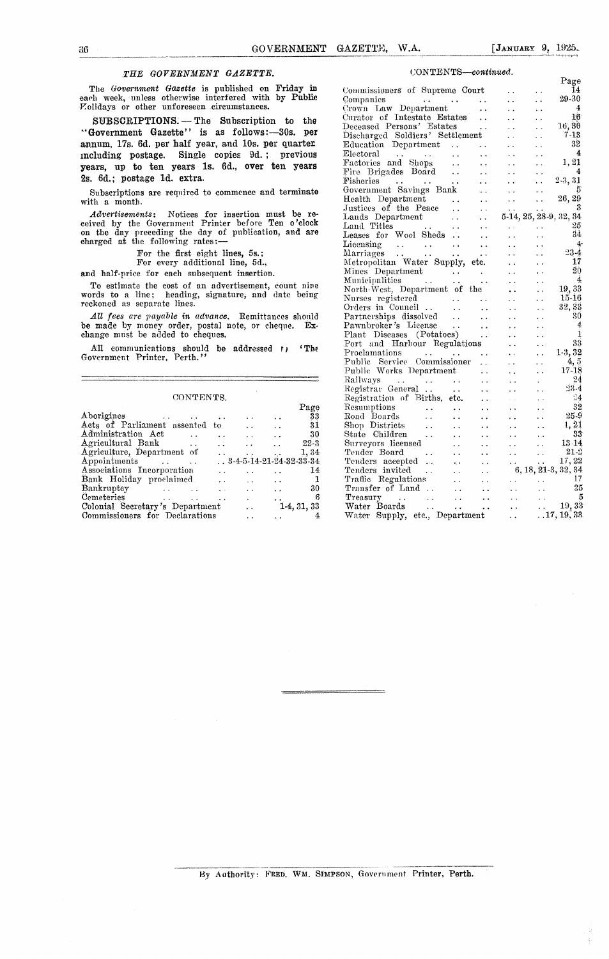$\mathbf{p}_{\text{max}}$ 

### *THE GOVERNMENT GAZETTE.* CONTENTS—continued,

|                                                                                                      | Registrar General<br>$\ddot{\phantom{1}}$                                                     | $\ddot{\phantom{1}}$ | $23 - 4$<br>$\cdot$ .                 |
|------------------------------------------------------------------------------------------------------|-----------------------------------------------------------------------------------------------|----------------------|---------------------------------------|
| CONTENTS.                                                                                            | Registration of Births, etc.<br>$\sim$ $\sim$                                                 |                      | $\mathbb{Z}4$<br>$\ddot{\phantom{0}}$ |
| Page                                                                                                 | Resumptions<br>$\ddotsc$<br>$\ddot{\phantom{a}}$<br>$\ddot{\phantom{1}}$                      | $\ddotsc$            | 32<br>$\ddot{\phantom{0}}$            |
| Aborigines<br>33<br>$\bullet$ .<br><br><br><br><br><br>$\ddot{\phantom{1}}$                          | Road Boards<br>$\ddot{\phantom{0}}$<br>$\ddot{\phantom{a}}$<br>$\cdot$ .                      | $\ddot{\phantom{0}}$ | $25-9$<br>$\ddot{\phantom{1}}$        |
| Acts of Parliament assented to<br>31<br>$\ddot{\phantom{0}}$                                         | Shop Districts<br>$\sim$ $\sim$<br>$\ddot{\phantom{0}}$<br>$\ddot{\phantom{1}}$               | $\ddot{\phantom{1}}$ | 1, 21<br>$\sim$ $\sim$                |
| Administration Act<br>30<br>$\ddotsc$                                                                | State Children<br>$\ddot{\phantom{a}}$<br>$\ddot{\phantom{1}}$                                | $\ddot{\phantom{0}}$ | 33<br>$\ddot{\phantom{1}}$            |
| Agricultural Bank<br>$22 - 3$<br>$\ddot{\phantom{1}}$<br>$\ddot{\phantom{0}}$<br>$\sim$<br>$\ddotsc$ | Surveyors licensed<br>$\cdot$ $\cdot$<br>$\ddot{\phantom{0}}$                                 | $\sim$               | $13\!\cdot\!14$<br>$\cdot$ $\cdot$    |
| Agriculture, Department of<br>1.34<br>$\cdots$<br>$\bullet$ . $\bullet$                              | Tender Board<br>$\ddot{\phantom{0}}$<br>$\ddot{\phantom{1}}$                                  | $\ddot{\phantom{1}}$ | $21 - 3$                              |
| $. 3 - 4 - 5 - 14 - 21 - 24 - 32 - 33 - 34$<br>Appointments<br>$\sim$                                | Tenders accepted<br>$\sim 10$<br>$\mathbf{r}^{\prime}$ , $\mathbf{r}$<br>$\ddot{\phantom{1}}$ | $\bullet$            | 17,22<br>$\bullet$ .                  |
| Associations Incorporation<br>14<br>$\sim$<br>$\ddot{\phantom{1}}$                                   | Tenders invited<br>$\ddot{\phantom{0}}$<br>$\ddot{\phantom{1}}$                               |                      | $6, 18, 21-3, 32, 34$                 |
| Bank Holiday proclaimed<br>$\sim$ $\sim$<br>$\ddot{\phantom{a}}$                                     | Traffic Regulations<br>$\sim$<br>$\cdot$ $\cdot$                                              | $\cdot$ .            | $\ddot{\phantom{1}}$                  |
| 30<br>Bankruptey<br>$\ddot{\phantom{1}}$                                                             | Transfer of Land<br>$\ddot{\phantom{0}}$<br>$\ddotsc$                                         | $\cdot$ $\cdot$      | 25<br>$\cdot$ $\cdot$                 |
| Cemeteries<br>6<br>$\sim$<br>$\ddot{\phantom{1}}$<br>$\ddot{\phantom{1}}$                            | Treasury<br>$\cdot$ $\cdot$<br>$\ddot{\phantom{1}}$<br>$\cdot$ .                              | $\cdot$ .            | Ð<br>$\ddot{\phantom{a}}$             |
| Colonial Secretary's Department<br>$1-4, 31, 33$<br>$\sim$ $\sim$                                    | Water Boards<br>$\ddot{\phantom{0}}$<br>$\cdot$ $\cdot$                                       | $\ddot{\phantom{a}}$ | 19.33<br>$\sim$ $\sim$                |
| Commissioners for Declarations<br>4                                                                  | Water Supply,<br>etc., Department                                                             | . .                  | .17, 19, 33                           |

|                                                                                                                                                         |                                                                                                                                                                                                                                                                                                                                                                                                                                                                                                                   | Page                                   |
|---------------------------------------------------------------------------------------------------------------------------------------------------------|-------------------------------------------------------------------------------------------------------------------------------------------------------------------------------------------------------------------------------------------------------------------------------------------------------------------------------------------------------------------------------------------------------------------------------------------------------------------------------------------------------------------|----------------------------------------|
| The Government Gazette is published on Friday in                                                                                                        | Commissioners of Supreme Court<br>$\ddot{\phantom{0}}$                                                                                                                                                                                                                                                                                                                                                                                                                                                            | 14<br>$\ddot{\phantom{0}}$             |
| each week, unless otherwise interfered with by Public                                                                                                   | Companies<br>$\mathcal{L}(\mathcal{L}(\mathcal{L}(\mathcal{L}(\mathcal{L}(\mathcal{L}(\mathcal{L}(\mathcal{L}(\mathcal{L}(\mathcal{L}(\mathcal{L}(\mathcal{L}(\mathcal{L}(\mathcal{L}(\mathcal{L}(\mathcal{L}(\mathcal{L}(\mathcal{L}(\mathcal{L}(\mathcal{L}(\mathcal{L}(\mathcal{L}(\mathcal{L}(\mathcal{L}(\mathcal{L}(\mathcal{L}(\mathcal{L}(\mathcal{L}(\mathcal{L}(\mathcal{L}(\mathcal{L}(\mathcal{L}(\mathcal{L}(\mathcal{L}(\mathcal{L}(\mathcal{L}(\mathcal{$<br>$\sim$ $\sim$<br>$\ddot{\phantom{0}}$ | 29-30<br>$\ddot{\phantom{0}}$          |
| Polidays or other unforeseen circumstances.                                                                                                             | Crown Law Department<br>$\sim$ $\sim$                                                                                                                                                                                                                                                                                                                                                                                                                                                                             | $\frac{4}{3}$<br>$\ddot{\phantom{1}}$  |
| SUBSCRIPTIONS. - The Subscription to the                                                                                                                | Curator of Intestate Estates<br>$\sim$ $\sim$                                                                                                                                                                                                                                                                                                                                                                                                                                                                     | 16<br>$\ddot{\phantom{1}}$             |
|                                                                                                                                                         | Deceased Persons' Estates<br>$\sim 10^{-1}$<br>$\ddot{\phantom{a}}$                                                                                                                                                                                                                                                                                                                                                                                                                                               | 16,30<br>$\sim$                        |
| "Government Gazette" is as follows:-30s. per                                                                                                            | Discharged Soldiers' Settlement<br>$\sim$                                                                                                                                                                                                                                                                                                                                                                                                                                                                         | $7-13$<br>$\ddot{\phantom{0}}$         |
| annum, 17s. 6d. per half year, and 10s. per quarter                                                                                                     | $\sim$ $\sim$                                                                                                                                                                                                                                                                                                                                                                                                                                                                                                     | 32<br>$\ddot{\phantom{0}}$             |
| including postage. Single copies 9d.; previous                                                                                                          | Electoral<br>$\mathcal{L}(\mathbf{x},\mathbf{y})$ .<br>and the state of the state of<br>$\sim$ .<br>$\sim$ $\sim$                                                                                                                                                                                                                                                                                                                                                                                                 | $\overline{4}$<br>$\ddot{\phantom{0}}$ |
|                                                                                                                                                         | Factories and Shops<br>$\sim 10^{-10}$ m $^{-1}$<br>$\sim$ $\sim$<br>$\sim$ $\sim$                                                                                                                                                                                                                                                                                                                                                                                                                                | 1,21<br>$\ddot{\phantom{a}}$           |
| years, up to ten years 1s. 6d., over ten years                                                                                                          | Fire Brigades Board<br>$\sim 100$                                                                                                                                                                                                                                                                                                                                                                                                                                                                                 | $\frac{4}{ }$<br>$\sim$ $\sim$         |
| 2s. 6d.: postage 1d. extra.                                                                                                                             | $\sim$ $\sim$<br>$\sim 10^{-1}$                                                                                                                                                                                                                                                                                                                                                                                                                                                                                   | $2-3, 31$<br>$\ddotsc$                 |
|                                                                                                                                                         | Government Savings Bank<br>$\sim 10$<br>$\sim$ $\sim$                                                                                                                                                                                                                                                                                                                                                                                                                                                             | 5<br>$\ddot{\phantom{0}}$              |
| Subscriptions are required to commence and terminate                                                                                                    | Health Department<br>$\ddotsc$<br>$\sim 10^{-1}$<br>$\sim$ $\sim$                                                                                                                                                                                                                                                                                                                                                                                                                                                 | 26, 29<br>$\ddot{\phantom{0}}$         |
| with a month.                                                                                                                                           | Justices of the Peace<br>$\sim$ $\sim$<br>$\sim$ $\sim$                                                                                                                                                                                                                                                                                                                                                                                                                                                           | 3                                      |
| <i>Advertisements</i> : Notices for insertion must be re-                                                                                               | Lands Department                                                                                                                                                                                                                                                                                                                                                                                                                                                                                                  | 5-14, 25, 28-9, 32, 34                 |
| ceived by the Government Printer before Ten o'clock                                                                                                     | Land Titles<br><b>Contract Contract</b><br><b>Contract Contract</b><br>$\sim 10^{-1}$                                                                                                                                                                                                                                                                                                                                                                                                                             | 25<br>$\ddot{\phantom{1}}$             |
| on the day preceding the day of publication, and are                                                                                                    | Leases for Wool Sheds<br>$\sim$ $\sim$                                                                                                                                                                                                                                                                                                                                                                                                                                                                            | 34<br>$\sim$ $\sim$                    |
| charged at the following rates:-                                                                                                                        | Licensing<br>$\mathcal{L}^{\mathcal{A}}$ and $\mathcal{L}^{\mathcal{A}}$ . The contribution of the $\mathcal{L}^{\mathcal{A}}$<br>$\sim 100$ km s $^{-1}$<br>$\sim$ $\sim$                                                                                                                                                                                                                                                                                                                                        | 4 <sup>2</sup>                         |
| For the first eight lines, 5s.;                                                                                                                         | Marriages                                                                                                                                                                                                                                                                                                                                                                                                                                                                                                         | $\ddot{\phantom{0}}$<br>$23-4$         |
| For every additional line, 5d.,                                                                                                                         | $\sim 10^{-1}$                                                                                                                                                                                                                                                                                                                                                                                                                                                                                                    | $\ddotsc$<br>17                        |
|                                                                                                                                                         | $\sim 10$                                                                                                                                                                                                                                                                                                                                                                                                                                                                                                         | $\sim$ $\sim$<br>20                    |
| and half-price for each subsequent insertion.                                                                                                           | Mines Department<br>$\sim$ $\sim$<br>Municipalities                                                                                                                                                                                                                                                                                                                                                                                                                                                               | $\sim$ $\sim$<br>$\frac{1}{4}$         |
| To estimate the cost of an advertisement, count nine                                                                                                    | <b>Contract</b><br><b>Contract Contract</b><br>$\sim$ $\sim$                                                                                                                                                                                                                                                                                                                                                                                                                                                      | $\ddotsc$<br>19,33                     |
| words to a line; heading, signature, and date being                                                                                                     | North-West, Department of the<br>$\ddot{\phantom{a}}$                                                                                                                                                                                                                                                                                                                                                                                                                                                             | $\ddotsc$<br>$15-16$                   |
| reckoned as separate lines.                                                                                                                             | Nurses registered<br>$\mathcal{L}(\mathbf{x})$                                                                                                                                                                                                                                                                                                                                                                                                                                                                    | $\sim$ $\sim$<br>32, 33                |
|                                                                                                                                                         | $\ddot{\phantom{a}}$                                                                                                                                                                                                                                                                                                                                                                                                                                                                                              | $\ddot{\phantom{0}}$                   |
| All fees are payable in advance. Remittances should                                                                                                     | Partnerships dissolved<br>$\sim$ $\sim$                                                                                                                                                                                                                                                                                                                                                                                                                                                                           | 30<br>$\sim$                           |
| be made by money order, postal note, or cheque. Ex-                                                                                                     | Pawnbroker's License<br>$\sim$ $\sim$                                                                                                                                                                                                                                                                                                                                                                                                                                                                             | $-4$<br>$\ddotsc$                      |
| change must be added to cheques.                                                                                                                        | Plant Diseases (Potatoes)<br>$\ddot{\phantom{a}}$                                                                                                                                                                                                                                                                                                                                                                                                                                                                 | -İ<br>г.,                              |
| All communications should be addressed to<br>$^{\prime}$ The                                                                                            | Port and Harbour Regulations<br>$\ddot{\phantom{0}}$                                                                                                                                                                                                                                                                                                                                                                                                                                                              | 33<br>$\ddot{\phantom{0}}$             |
| Government Printer, Perth."                                                                                                                             | Proclamations<br>$\Delta \sim 10^{-1}$                                                                                                                                                                                                                                                                                                                                                                                                                                                                            | $1-3.32$<br>$\ddot{\phantom{0}}$       |
|                                                                                                                                                         | Public Service Commissioner<br>$\sim$                                                                                                                                                                                                                                                                                                                                                                                                                                                                             | 4, 5<br>$\ddot{\phantom{0}}$           |
|                                                                                                                                                         | Public Works Department<br>$\sim 10^{-1}$<br>$\ddotsc$                                                                                                                                                                                                                                                                                                                                                                                                                                                            | $17 - 18$<br>$\ddot{\phantom{1}}$      |
|                                                                                                                                                         | Railways<br>$\mathcal{L}(\mathcal{A},\mathcal{A})$ . The contribution of the contribution of $\mathcal{A}$<br>$\ddot{\phantom{0}}$                                                                                                                                                                                                                                                                                                                                                                                | -24<br>$\ddot{\phantom{a}}$            |
|                                                                                                                                                         | $\sim$ $\sim$<br>$\sim$ $\sim$                                                                                                                                                                                                                                                                                                                                                                                                                                                                                    | $23 - 4$<br>$\ddot{\phantom{0}}$       |
| CONTENTS.                                                                                                                                               | Registration of Births, etc.<br>$\sim 10^{-1}$<br>$\sim$ $\sim$                                                                                                                                                                                                                                                                                                                                                                                                                                                   | $-4$<br>$\ddot{\phantom{0}}$           |
| Page                                                                                                                                                    | Resumptions<br>$\ddot{\phantom{a}}$<br>$\sim 10^{-1}$<br>$\sim 10^{-1}$                                                                                                                                                                                                                                                                                                                                                                                                                                           | 32<br>$\ddot{\phantom{0}}$             |
| Aborigines<br>33<br>$\sim$ $\sim$                                                                                                                       | Road Boards<br>$\mathcal{L}(\mathbf{z},\mathbf{z})$ . The $\mathcal{L}(\mathbf{z},\mathbf{z})$<br>$\ddot{\phantom{0}}$<br>$\sim$ $\sim$                                                                                                                                                                                                                                                                                                                                                                           | $25-9$<br>$\ddot{\phantom{1}}$         |
| Acts of Parliament assented to<br>31<br>$\mathbf{y}$ .<br>$\ddot{\phantom{a}}$                                                                          | Shop Districts<br>$\sim$ $\sim$<br>$\sim$ $\sim$                                                                                                                                                                                                                                                                                                                                                                                                                                                                  | 1, 21<br>$\sim$ $\sim$                 |
| Administration Act<br>30<br>$\mathcal{L}^{\text{max}}_{\text{max}}$ and $\mathcal{L}^{\text{max}}_{\text{max}}$<br>$\mathbf{r}$<br>$\ddot{\phantom{0}}$ | State Children<br>$\sim$ $\sim$<br>$\sim$ $\sim$<br>$\sim 100$                                                                                                                                                                                                                                                                                                                                                                                                                                                    | 33<br>$\sim$ $\sim$                    |
| $22 - 3$<br>$\sim$ $\sim$<br>$\ddot{\phantom{a}}$                                                                                                       | Surveyors licensed<br>$\sim$ $\sim$<br>$\sim$ $\sim$                                                                                                                                                                                                                                                                                                                                                                                                                                                              | $13 - 14$<br>$\ddot{\phantom{a}}$      |
| 1,34<br>$\epsilon$ , $\epsilon$<br>$\sim$ $\sim$                                                                                                        | $\sim$ $\sim$                                                                                                                                                                                                                                                                                                                                                                                                                                                                                                     | $21 - 3$<br>$\ddot{\phantom{0}}$       |
| $3-4-5-14-21-24-32-33-34$                                                                                                                               | Fender Board<br>Tenders accepted<br>Tenders invited<br>Traffic Regulations<br>Traffic Trans<br>$\sim 10^{-1}$                                                                                                                                                                                                                                                                                                                                                                                                     | 17,22<br>$\sim$ $\sim$                 |
| 14<br>$\ddot{\phantom{a}}$                                                                                                                              |                                                                                                                                                                                                                                                                                                                                                                                                                                                                                                                   | $6, 18, 21-3, 32, 34$                  |
| Associations Incorporation<br>Bank Holiday proclaimed<br>$\mathbf{1}$<br>$\sim$ $\sim$                                                                  | <b>Allen Control</b>                                                                                                                                                                                                                                                                                                                                                                                                                                                                                              | $\ldots$ 17                            |
| 30<br>$\sim$ $\sim$                                                                                                                                     | $\sim 10^{-1}$                                                                                                                                                                                                                                                                                                                                                                                                                                                                                                    | 25<br>$\ddot{\phantom{a}}$ .           |
| Bankruptcy<br>Cometeries<br>-6<br>Cemeteries<br>state of the control of<br>$\Delta \sim 10^{11}$ m $^{-1}$<br>$\sim 10^{-1}$                            | Treasury                                                                                                                                                                                                                                                                                                                                                                                                                                                                                                          | 5<br>$\sim 10^{-10}$                   |
| Colonial Secretary's Department<br>$1-4, 31, 33$                                                                                                        | $\mathcal{L}^{\text{max}}$ , and $\mathcal{L}^{\text{max}}$ , and $\mathcal{L}^{\text{max}}$<br>Water Boards<br>$\mathcal{L}(\mathcal{A})$ .                                                                                                                                                                                                                                                                                                                                                                      | 19,33<br>$\mathbf{1}$ , $\mathbf{1}$   |
| Commissionare for Daclarations<br>$\overline{A}$                                                                                                        | Water Sunnly etc. Department                                                                                                                                                                                                                                                                                                                                                                                                                                                                                      | $-17.19^{\degree}38$                   |

By **Authority: Paso. Wae. SIMPsoN,** Government Printer, Perth.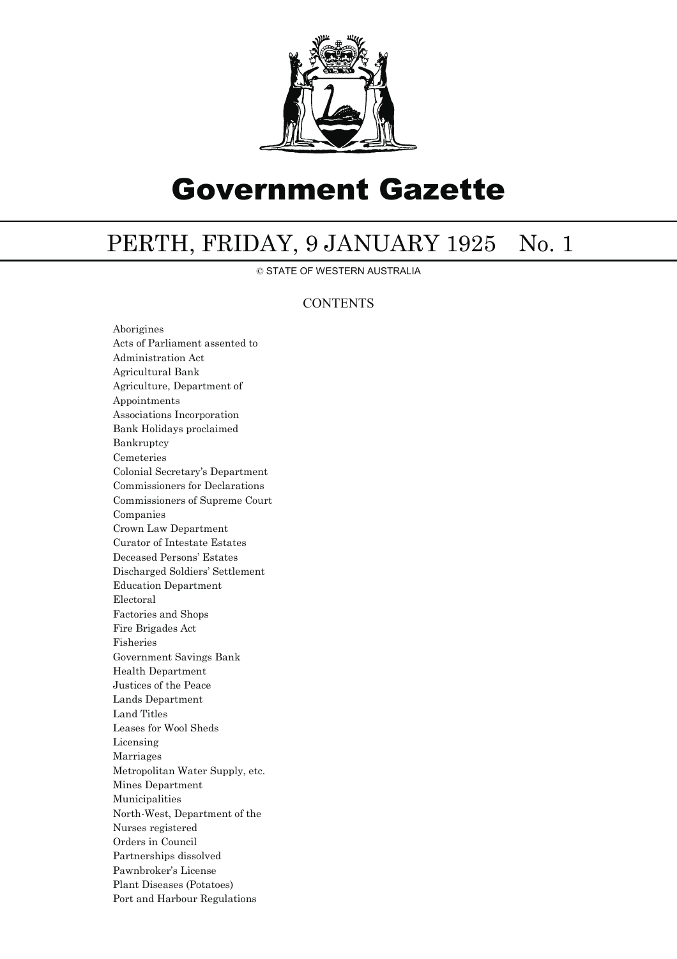

# Government Gazette

## PERTH, FRIDAY, 9 JANUARY 1925 No. 1

© STATE OF WESTERN AUSTRALIA

## **CONTENTS**

Aborigines Acts of Parliament assented to Administration Act Agricultural Bank Agriculture, Department of Appointments Associations Incorporation Bank Holidays proclaimed Bankruptcy Cemeteries Colonial Secretary's Department Commissioners for Declarations Commissioners of Supreme Court Companies Crown Law Department Curator of Intestate Estates Deceased Persons' Estates Discharged Soldiers' Settlement Education Department Electoral Factories and Shops Fire Brigades Act Fisheries Government Savings Bank Health Department Justices of the Peace Lands Department Land Titles Leases for Wool Sheds Licensing Marriages Metropolitan Water Supply, etc. Mines Department Municipalities North-West, Department of the Nurses registered Orders in Council Partnerships dissolved Pawnbroker's License Plant Diseases (Potatoes) Port and Harbour Regulations